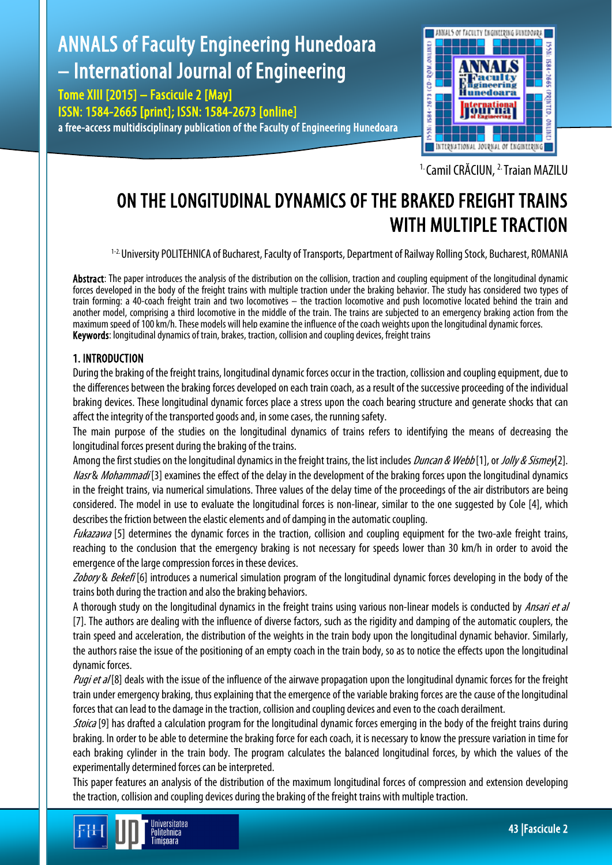# ANNALS of Faculty Engineering Hunedoara – International Journal of Engineering

Tome XIII [2015] – Fascicule 2 [May] ISSN: 1584-2665 [print]; ISSN: 1584-2673 [online] a free-access multidisciplinary publication of the Faculty of Engineering Hunedoara



<sup>1.</sup> Camil CRĂCIUN, <sup>2.</sup> Traian MAZILU

# ON THE LONGITUDINAL DYNAMICS OF THE BRAKED FREIGHT TRAINS WITH MULTIPLE TRACTION

1-2. University POLITEHNICA of Bucharest, Faculty of Transports, Department of Railway Rolling Stock, Bucharest, ROMANIA

Abstract: The paper introduces the analysis of the distribution on the collision, traction and coupling equipment of the longitudinal dynamic forces developed in the body of the freight trains with multiple traction under the braking behavior. The study has considered two types of train forming: a 40-coach freight train and two locomotives – the traction locomotive and push locomotive located behind the train and another model, comprising a third locomotive in the middle of the train. The trains are subjected to an emergency braking action from the maximum speed of 100 km/h. These models will help examine the influence of the coach weights upon the longitudinal dynamic forces. Keywords: longitudinal dynamics of train, brakes, traction, collision and coupling devices, freight trains

# 1. INTRODUCTION

During the braking of the freight trains, longitudinal dynamic forces occur in the traction, collission and coupling equipment, due to the differences between the braking forces developed on each train coach, as a result of the successive proceeding of the individual braking devices. These longitudinal dynamic forces place a stress upon the coach bearing structure and generate shocks that can affect the integrity of the transported goods and, in some cases, the running safety.

The main purpose of the studies on the longitudinal dynamics of trains refers to identifying the means of decreasing the longitudinal forces present during the braking of the trains.

Among the first studies on the longitudinal dynamics in the freight trains, the list includes *Duncan & Webb* [1], or *Jolly & Sismey*[2]. Nasr & Mohammadi<sup>[3]</sup> examines the effect of the delay in the development of the braking forces upon the longitudinal dynamics in the freight trains, via numerical simulations. Three values of the delay time of the proceedings of the air distributors are being considered. The model in use to evaluate the longitudinal forces is non-linear, similar to the one suggested by Cole [4], which describes the friction between the elastic elements and of damping in the automatic coupling.

Fukazawa [5] determines the dynamic forces in the traction, collision and coupling equipment for the two-axle freight trains, reaching to the conclusion that the emergency braking is not necessary for speeds lower than 30 km/h in order to avoid the emergence of the large compression forces in these devices.

Zobory & Bekefi [6] introduces a numerical simulation program of the longitudinal dynamic forces developing in the body of the trains both during the traction and alsothe braking behaviors.

A thorough study on the longitudinal dynamics in the freight trains using various non-linear models is conducted by *Ansari et al* [7]. The authors are dealing with the influence of diverse factors, such as the rigidity and damping of the automatic couplers, the train speed and acceleration, the distribution of the weights in the train body upon the longitudinal dynamic behavior. Similarly, the authors raise the issue of the positioning of an empty coach in the train body, so as to notice the effects upon the longitudinal dynamic forces.

Pugi et  $d[8]$  deals with the issue of the influence of the airwave propagation upon the longitudinal dynamic forces for the freight train under emergency braking, thus explaining that the emergence of the variable braking forces are the cause of the longitudinal forces that can lead to the damage in the traction, collision and coupling devices and even to the coach derailment.

Stoica [9] has drafted a calculation program for the longitudinal dynamic forces emerging in the body of the freight trains during braking. In order to be able to determine the braking force for each coach, it is necessary to know the pressure variation in time for each braking cylinder in the train body. The program calculates the balanced longitudinal forces, by which the values of the experimentally determined forces can be interpreted.

This paper features an analysis of the distribution of the maximum longitudinal forces of compression and extension developing the traction, collision and coupling devices during the braking of the freight trains with multiple traction.

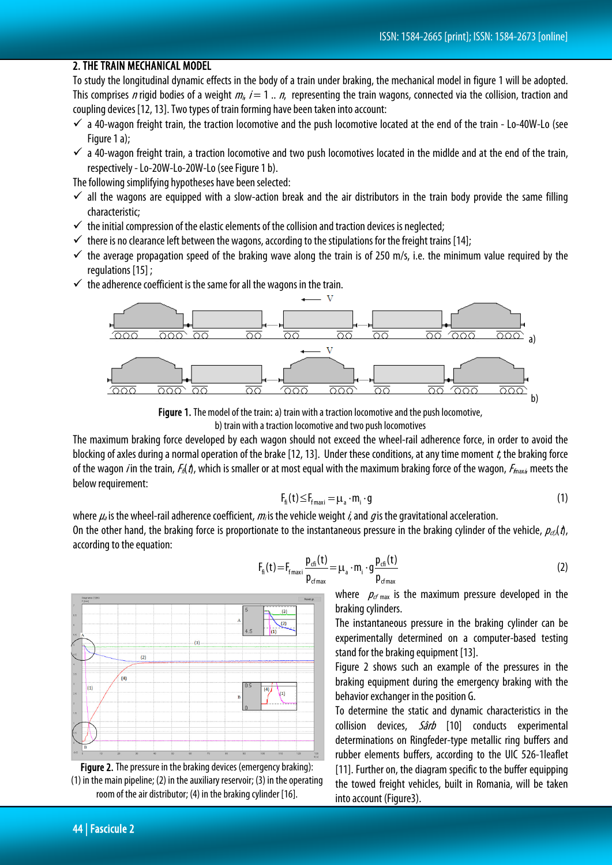# 2. THE TRAIN MECHANICAL MODEL

To study the longitudinal dynamic effects in the body of a train under braking, the mechanical model in figure 1 will be adopted. This comprises n rigid bodies of a weight  $m_i$   $i = 1...n$ , representing the train wagons, connected via the collision, traction and coupling devices [12, 13]. Two types of train forming have been taken into account:

- $\checkmark$  a 40-wagon freight train, the traction locomotive and the push locomotive located at the end of the train Lo-40W-Lo (see Figure 1 a):
- $\checkmark$  a 40-wagon freight train, a traction locomotive and two push locomotives located in the midlde and at the end of the train, respectively -Lo-20W-Lo-20W-Lo (see Figure 1 b).

The following simplifying hypotheses have been selected:

- $\checkmark$  all the wagons are equipped with a slow-action break and the air distributors in the train body provide the same filling characteristic;
- $\checkmark$  the initial compression of the elastic elements of the collision and traction devices is neglected;
- $\checkmark$  there is no clearance left between the wagons, according to the stipulations for the freight trains [14];
- $\checkmark$  the average propagation speed of the braking wave along the train is of 250 m/s, i.e. the minimum value required by the regulations [15] ;
- $\checkmark$  the adherence coefficient is the same for all the wagons in the train.



Figure 1. The model of the train: a) train with a traction locomotive and the push locomotive, b) train with a traction locomotive and two push locomotives

The maximum braking force developed by each wagon should not exceed the wheel-rail adherence force, in order to avoid the blocking of axles during a normal operation of the brake [12, 13]. Under these conditions, at any time moment  $t$ , the braking force of the wagon *i* in the train,  $F_A(t)$ , which is smaller or at most equal with the maximum braking force of the wagon,  $F_{\text{max},i}$  meets the below requirement:

$$
F_{fi}(t) \le F_{f_{maxi}} = \mu_a \cdot m_i \cdot g \tag{1}
$$

where  $\mu_a$  is the wheel-rail adherence coefficient,  $m_i$  is the vehicle weight *i*, and g is the gravitational acceleration.

On the other hand, the braking force is proportionate to the instantaneous pressure in the braking cylinder of the vehicle,  $p_{c}(\theta)$ , according to the equation:



Figure 2. The pressure in the braking devices (emergency braking): (1) in the main pipeline; (2) in the auxiliary reservoir; (3) in the operating room of the air distributor; (4) in the braking cylinder [16].

$$
F_{\text{fi}}(t) = F_{\text{fmax}} \frac{p_{\text{cf}}(t)}{p_{\text{fmax}}} = \mu_{\text{a}} \cdot m_{\text{i}} \cdot g \frac{p_{\text{cf}}(t)}{p_{\text{fmax}}} \tag{2}
$$

where  $p_{cf \text{max}}$  is the maximum pressure developed in the braking cylinders.

The instantaneous pressure in the braking cylinder can be experimentally determined on a computer-based testing stand for the braking equipment [13].

Figure 2 shows such an example of the pressures in the braking equipment during the emergency braking with the behavior exchanger in the position G.

To determine the static and dynamic characteristics in the collision devices, *Sârb* [10] conducts experimental determinations on Ringfeder-type metallic ring buffers and rubber elements buffers, according to the UIC 526-1leaflet [11]. Further on, the diagram specific to the buffer equipping the towed freight vehicles, built in Romania, will be taken into account (Figure3).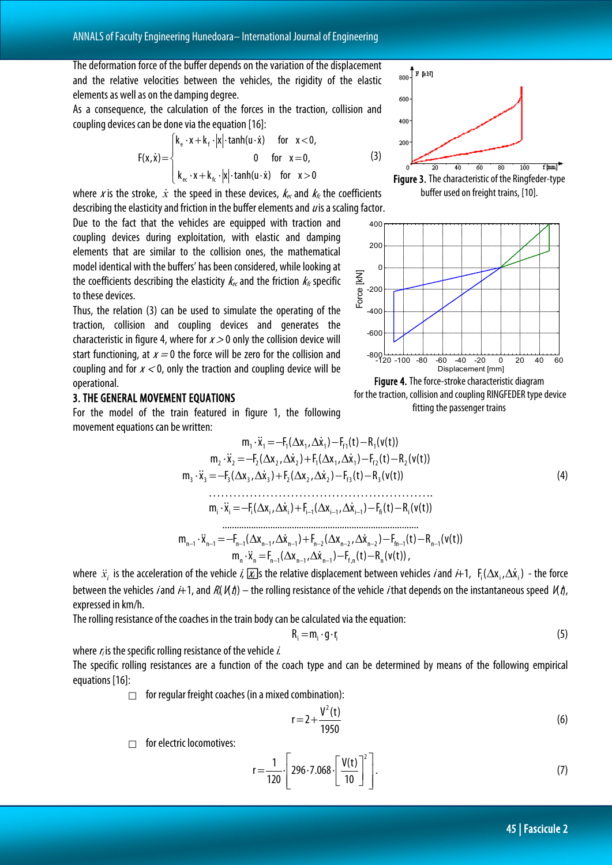The deformation force of the buffer depends on the variation of the displacement and the relative velocities between the vehicles, the rigidity of the elastic elements as well as on the damping degree.

As a consequence, the calculation of the forces in the traction, collision and coupling devices can be done via the equation [16]:

$$
F(x, \dot{x}) = \begin{cases} k_e \cdot x + k_f \cdot |x| \cdot \tanh(u \cdot \dot{x}) & \text{for } x < 0, \\ 0 & \text{for } x = 0, \\ k_{ec} \cdot x + k_{fc} \cdot |x| \cdot \tanh(u \cdot \dot{x}) & \text{for } x > 0 \end{cases}
$$
(3)

where x is the stroke,  $\dot{x}$  the speed in these devices,  $k_{\epsilon c}$  and  $k_{\epsilon}$  the coefficients describing the elasticity and friction in the buffer elements and  $\mu$  is a scaling factor.

Due to the fact that the vehicles are equipped with traction and coupling devices during exploitation, with elastic and damping elements that are similar to the collision ones, the mathematical model identical with the buffers' has been considered, while looking at the coefficients describing the elasticity  $k_{\epsilon c}$  and the friction  $k_{\epsilon}$  specific to these devices.

Thus, the relation (3) can be used to simulate the operating of the traction, collision and coupling devices and generates the characteristic in figure 4, where for  $x > 0$  only the collision device will start functioning, at  $x = 0$  the force will be zero for the collision and coupling and for  $x < 0$ , only the traction and coupling device will be operational.

#### 3. THE GENERAL MOVEMENT EQUATIONS

For the model of the train featured in figure 1, the following movement equations can be written:







Figure 4. The force-stroke characteristic diagram for the traction, collision and coupling RINGFEDER type device fitting the passenger trains

m x F( x , x ) F (t) R (v(t)) <sup>1</sup> <sup>1</sup> =− <sup>1</sup> ∆ <sup>1</sup> ∆ <sup>1</sup> − f1 − <sup>1</sup> ⋅ m x F ( x , x ) F( x , x ) F (t) R (v(t)) <sup>2</sup> <sup>2</sup> =− <sup>2</sup> ∆ <sup>2</sup> ∆ <sup>2</sup> + <sup>1</sup> ∆ <sup>1</sup> ∆ <sup>1</sup> − f2 − <sup>2</sup> ⋅ m x F ( x , x ) F ( x , x ) F (t) R (v(t)) <sup>3</sup> <sup>3</sup> =− <sup>3</sup> ∆ <sup>3</sup> ∆ <sup>3</sup> + <sup>2</sup> ∆ <sup>2</sup> ∆ <sup>2</sup> − f3 − <sup>3</sup> ⋅ (4) ………………………………………………. m x F( x , x ) F ( x , x ) F (t) R (v(t)) <sup>i</sup> <sup>i</sup> =− <sup>i</sup> ∆ <sup>i</sup> ∆ <sup>i</sup> + <sup>i</sup> <sup>1</sup> ∆ <sup>i</sup> <sup>1</sup> ∆ <sup>i</sup> <sup>1</sup> − fi − <sup>i</sup> ⋅ <sup>−</sup> <sup>−</sup> <sup>−</sup> .................................................................................. m x F ( x , x ) F ( x , x ) F (t) R (v(t)) <sup>n</sup>−<sup>1</sup> <sup>n</sup>−<sup>1</sup> =− <sup>n</sup>−<sup>1</sup> ∆ <sup>n</sup>−<sup>1</sup> ∆ <sup>n</sup>−<sup>1</sup> + <sup>n</sup>−<sup>2</sup> ∆ <sup>n</sup>−<sup>2</sup> ∆ <sup>n</sup>−<sup>2</sup> − fn−<sup>1</sup> − <sup>n</sup>−<sup>1</sup> ⋅ m x F ( x , x ) F (t) R (v(t)) <sup>n</sup> <sup>n</sup> = <sup>n</sup> <sup>1</sup> ∆ <sup>n</sup> <sup>1</sup> ∆ <sup>n</sup> <sup>1</sup> − <sup>f</sup> ,n − <sup>n</sup> ⋅ <sup>−</sup> <sup>−</sup> <sup>−</sup> ,

where  $\ddot{x}_i$  is the acceleration of the vehicle *i*,  $\chi$  s the relative displacement between vehicles *i* and  $i+1$ ,  $F_i(\Delta x_i, \Delta \dot{x}_i)$  - the force between the vehicles *i* and  $\hat{H}$ , and  $R(X|\theta)$  – the rolling resistance of the vehicle *i* that depends on the instantaneous speed  $K\hat{\theta}$ , expressed in km/h.

The rolling resistance of the coaches in the train body can be calculated via the equation:

$$
R_i = m_i \cdot g \cdot r_i \tag{5}
$$

where  $r_i$  is the specific rolling resistance of the vehicle  $i$ .

The specific rolling resistances are a function of the coach type and can be determined by means of the following empirical equations [16]:

 $\Box$  for regular freight coaches (in a mixed combination):

$$
r = 2 + \frac{V^2(t)}{1950}
$$
 (6)

 $\Box$  for electric locomotives:

$$
r = \frac{1}{120} \cdot \left[ 296 \cdot 7.068 \cdot \left[ \frac{V(t)}{10} \right]^2 \right].
$$
 (7)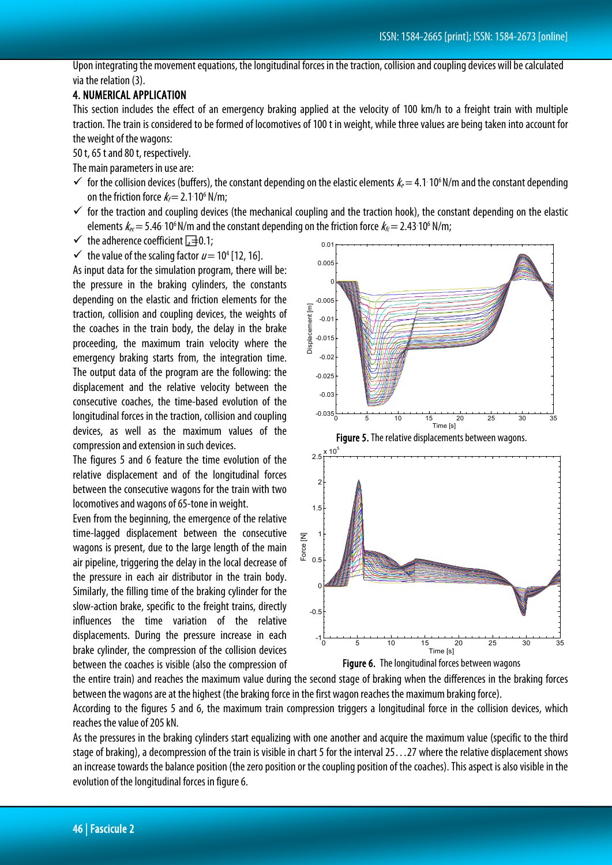Upon integrating the movement equations, the longitudinal forces in the traction, collision and coupling devices will be calculated via the relation (3).

# 4. NUMERICAL APPLICATION

This section includes the effect of an emergency braking applied at the velocity of 100 km/h to a freight train with multiple traction. The train is considered to be formed of locomotives of 100 t in weight, while three values are being taken into account for the weight of the wagons:

50 t, 65 t and 80 t, respectively.

The main parameters in use are:

- $\checkmark$  for the collision devices (buffers), the constant depending on the elastic elements  $k_e$  = 4.1. 10<sup>6</sup> N/m and the constant depending on the friction force  $k_f$  = 2.1 10<sup>6</sup> N/m;
- $\checkmark$  for the traction and coupling devices (the mechanical coupling and the traction hook), the constant depending on the elastic elements  $k_{e} = 5.46\cdot10^6$  N/m and the constant depending on the friction force  $k_{E} = 2.43\cdot10^6$  N/m;
- $\checkmark$  the adherence coefficient  $\bar{a}=0.1$ ;
- $\checkmark$  the value of the scaling factor  $u = 10^4$  [12, 16].

As input data for the simulation program, there will be: the pressure in the braking cylinders, the constants depending on the elastic and friction elements for the traction, collision and coupling devices, the weights of the coaches in the train body, the delay in the brake proceeding, the maximum train velocity where the emergency braking starts from, the integration time. The output data of the program are the following: the displacement and the relative velocity between the consecutive coaches, the time-based evolution of the longitudinal forces in the traction, collision and coupling devices, as well as the maximum values of the compression and extension in such devices.

The figures 5 and 6 feature the time evolution of the relative displacement and of the longitudinal forces between the consecutive wagons for the train with two locomotives and wagons of 65-tone in weight.

Even from the beginning, the emergence of the relative time-lagged displacement between the consecutive wagons is present, due to the large length of the main air pipeline, triggering the delay in the local decrease of the pressure in each air distributor in the train body. Similarly, the filling time of the braking cylinder for the slow-action brake, specific to the freight trains, directly influences the time variation of the relative displacements. During the pressure increase in each brake cylinder, the compression of the collision devices between the coaches is visible (also the compression of





the entire train) and reaches the maximum value during the second stage of braking when the differences in the braking forces between the wagons are at the highest (the braking force in the first wagon reaches the maximum braking force).

According to the figures 5 and 6, the maximum train compression triggers a longitudinal force in the collision devices, which reaches the value of 205 kN.

As the pressures in the braking cylinders start equalizing with one another and acquire the maximum value (specific to the third stage of braking), a decompression of the train is visible in chart 5 for the interval 25…27 where the relative displacement shows an increase towards the balance position (the zero position or the coupling position of the coaches). This aspect is also visible in the evolution of the longitudinal forces in figure 6.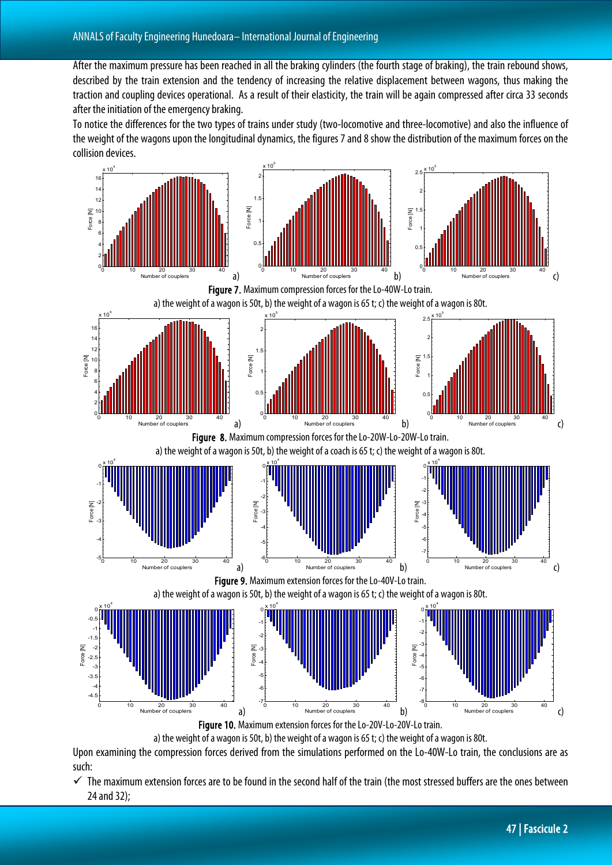After the maximum pressure has been reached in all the braking cylinders (the fourth stage of braking), the train rebound shows, described by the train extension and the tendency of increasing the relative displacement between wagons, thus making the traction and coupling devices operational. As a result of their elasticity, the train will be again compressed after circa 33 seconds after the initiation of the emergency braking.

To notice the differences for the two types of trains under study (two-locomotive and three-locomotive) and also the influence of the weight of the wagons upon the longitudinal dynamics, the figures 7 and 8 show the distribution of the maximum forces on the collision devices.



Upon examining the compression forces derived from the simulations performed on the Lo-40W-Lo train, the conclusions are as such:

 $\checkmark$  The maximum extension forces are to be found in the second half of the train (the most stressed buffers are the ones between 24 and 32);